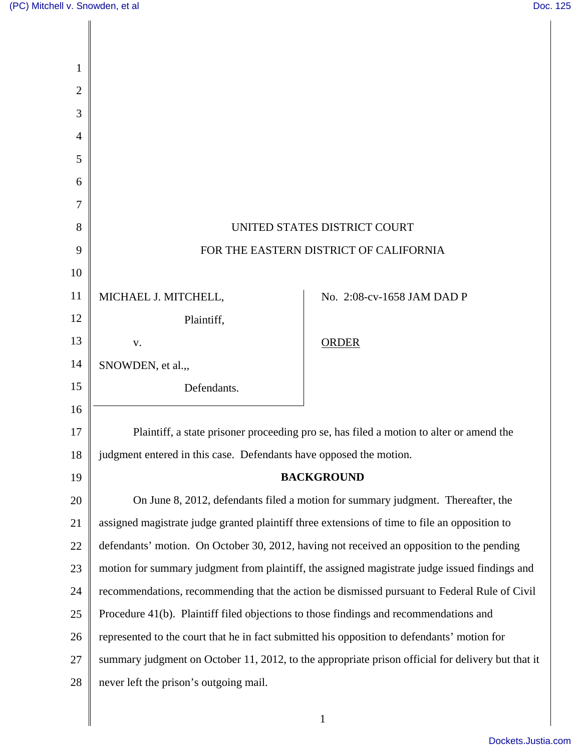| 1  |                                                                                             |                                                                                                   |
|----|---------------------------------------------------------------------------------------------|---------------------------------------------------------------------------------------------------|
| 2  |                                                                                             |                                                                                                   |
| 3  |                                                                                             |                                                                                                   |
| 4  |                                                                                             |                                                                                                   |
| 5  |                                                                                             |                                                                                                   |
| 6  |                                                                                             |                                                                                                   |
| 7  |                                                                                             |                                                                                                   |
| 8  |                                                                                             | UNITED STATES DISTRICT COURT                                                                      |
| 9  |                                                                                             | FOR THE EASTERN DISTRICT OF CALIFORNIA                                                            |
| 10 |                                                                                             |                                                                                                   |
| 11 | MICHAEL J. MITCHELL,                                                                        | No. 2:08-cv-1658 JAM DAD P                                                                        |
| 12 | Plaintiff,                                                                                  |                                                                                                   |
| 13 | V.                                                                                          | <b>ORDER</b>                                                                                      |
| 14 | SNOWDEN, et al.,                                                                            |                                                                                                   |
| 15 | Defendants.                                                                                 |                                                                                                   |
| 16 |                                                                                             |                                                                                                   |
| 17 |                                                                                             | Plaintiff, a state prisoner proceeding pro se, has filed a motion to alter or amend the           |
| 18 | judgment entered in this case. Defendants have opposed the motion.                          |                                                                                                   |
| 19 |                                                                                             | <b>BACKGROUND</b>                                                                                 |
| 20 |                                                                                             | On June 8, 2012, defendants filed a motion for summary judgment. Thereafter, the                  |
| 21 |                                                                                             | assigned magistrate judge granted plaintiff three extensions of time to file an opposition to     |
| 22 |                                                                                             | defendants' motion. On October 30, 2012, having not received an opposition to the pending         |
| 23 |                                                                                             | motion for summary judgment from plaintiff, the assigned magistrate judge issued findings and     |
| 24 |                                                                                             | recommendations, recommending that the action be dismissed pursuant to Federal Rule of Civil      |
| 25 | Procedure 41(b). Plaintiff filed objections to those findings and recommendations and       |                                                                                                   |
| 26 | represented to the court that he in fact submitted his opposition to defendants' motion for |                                                                                                   |
| 27 |                                                                                             | summary judgment on October 11, 2012, to the appropriate prison official for delivery but that it |
| 28 | never left the prison's outgoing mail.                                                      |                                                                                                   |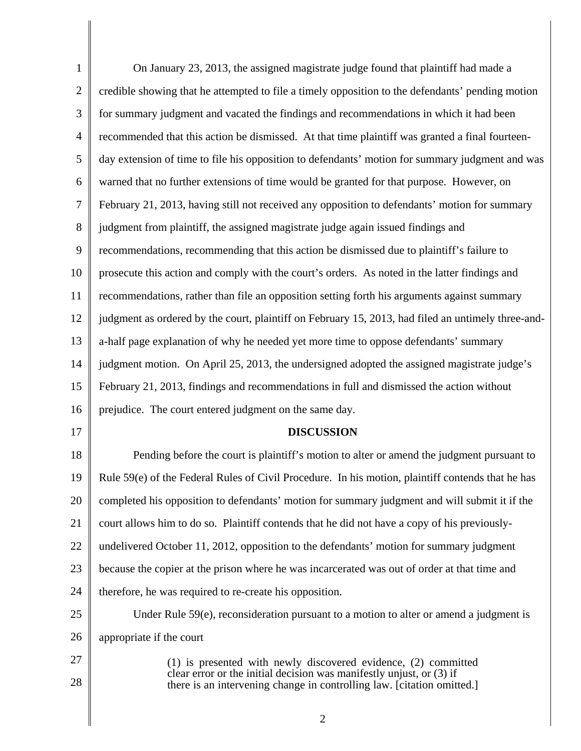| $\mathbf{1}$   | On January 23, 2013, the assigned magistrate judge found that plaintiff had made a                                                             |
|----------------|------------------------------------------------------------------------------------------------------------------------------------------------|
| $\overline{2}$ | credible showing that he attempted to file a timely opposition to the defendants' pending motion                                               |
| $\mathfrak{Z}$ | for summary judgment and vacated the findings and recommendations in which it had been                                                         |
| $\overline{4}$ | recommended that this action be dismissed. At that time plaintiff was granted a final fourteen-                                                |
| 5              | day extension of time to file his opposition to defendants' motion for summary judgment and was                                                |
| 6              | warned that no further extensions of time would be granted for that purpose. However, on                                                       |
| $\tau$         | February 21, 2013, having still not received any opposition to defendants' motion for summary                                                  |
| $8\,$          | judgment from plaintiff, the assigned magistrate judge again issued findings and                                                               |
| 9              | recommendations, recommending that this action be dismissed due to plaintiff's failure to                                                      |
| 10             | prosecute this action and comply with the court's orders. As noted in the latter findings and                                                  |
| 11             | recommendations, rather than file an opposition setting forth his arguments against summary                                                    |
| 12             | judgment as ordered by the court, plaintiff on February 15, 2013, had filed an untimely three-and-                                             |
| 13             | a-half page explanation of why he needed yet more time to oppose defendants' summary                                                           |
| 14             | judgment motion. On April 25, 2013, the undersigned adopted the assigned magistrate judge's                                                    |
| 15             | February 21, 2013, findings and recommendations in full and dismissed the action without                                                       |
| 16             | prejudice. The court entered judgment on the same day.                                                                                         |
| 17             | <b>DISCUSSION</b>                                                                                                                              |
| 18             | Pending before the court is plaintiff's motion to alter or amend the judgment pursuant to                                                      |
| 19             | Rule 59(e) of the Federal Rules of Civil Procedure. In his motion, plaintiff contends that he has                                              |
| 20             | completed his opposition to defendants' motion for summary judgment and will submit it if the                                                  |
| 21             | court allows him to do so. Plaintiff contends that he did not have a copy of his previously-                                                   |
| 22             | undelivered October 11, 2012, opposition to the defendants' motion for summary judgment                                                        |
| 23             | because the copier at the prison where he was incarcerated was out of order at that time and                                                   |
| 24             | therefore, he was required to re-create his opposition.                                                                                        |
| 25             | Under Rule $59(e)$ , reconsideration pursuant to a motion to alter or amend a judgment is                                                      |
|                |                                                                                                                                                |
| 26             | appropriate if the court                                                                                                                       |
| 27             | (1) is presented with newly discovered evidence, (2) committed                                                                                 |
| 28             | clear error or the initial decision was manifestly unjust, or (3) if<br>there is an intervening change in controlling law. [citation omitted.] |
|                | $\overline{2}$                                                                                                                                 |